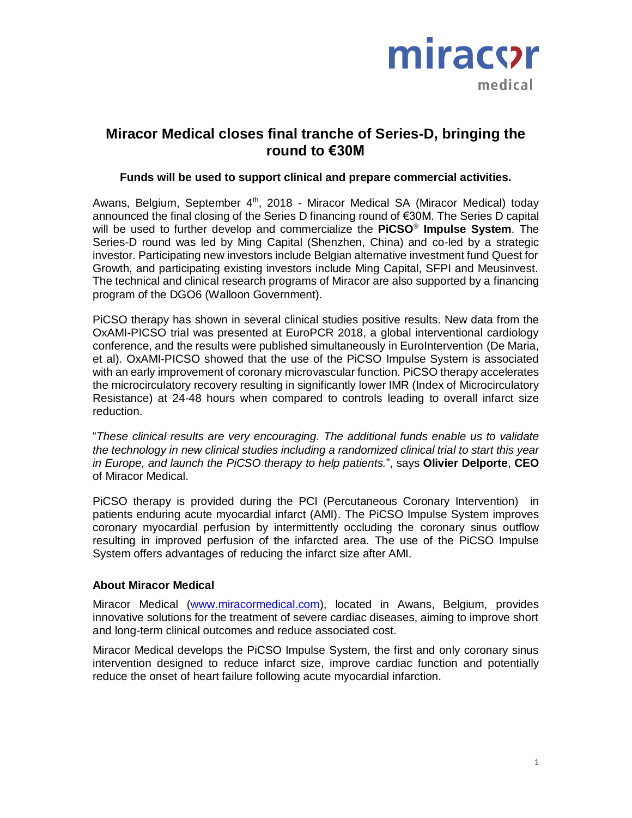

## **Miracor Medical closes final tranche of Series-D, bringing the round to €30M**

#### **Funds will be used to support clinical and prepare commercial activities.**

Awans, Belgium, September 4<sup>th</sup>, 2018 - Miracor Medical SA (Miracor Medical) today announced the final closing of the Series D financing round of €30M. The Series D capital will be used to further develop and commercialize the **PiCSO**® **Impulse System**. The Series-D round was led by Ming Capital (Shenzhen, China) and co-led by a strategic investor. Participating new investors include Belgian alternative investment fund Quest for Growth, and participating existing investors include Ming Capital, SFPI and Meusinvest. The technical and clinical research programs of Miracor are also supported by a financing program of the DGO6 (Walloon Government).

PiCSO therapy has shown in several clinical studies positive results. New data from the OxAMI-PICSO trial was presented at EuroPCR 2018, a global interventional cardiology conference, and the results were published simultaneously in EuroIntervention (De Maria, et al). OxAMI-PICSO showed that the use of the PiCSO Impulse System is associated with an early improvement of coronary microvascular function. PiCSO therapy accelerates the microcirculatory recovery resulting in significantly lower IMR (Index of Microcirculatory Resistance) at 24-48 hours when compared to controls leading to overall infarct size reduction.

"*These clinical results are very encouraging. The additional funds enable us to validate the technology in new clinical studies including a randomized clinical trial to start this year in Europe, and launch the PiCSO therapy to help patients.*", says **Olivier Delporte**, **CEO**  of Miracor Medical.

PiCSO therapy is provided during the PCI (Percutaneous Coronary Intervention) in patients enduring acute myocardial infarct (AMI). The PiCSO Impulse System improves coronary myocardial perfusion by intermittently occluding the coronary sinus outflow resulting in improved perfusion of the infarcted area. The use of the PiCSO Impulse System offers advantages of reducing the infarct size after AMI.

#### **About Miracor Medical**

Miracor Medical [\(www.miracormedical.com\)](http://www.miracormedical.com/), located in Awans, Belgium, provides innovative solutions for the treatment of severe cardiac diseases, aiming to improve short and long-term clinical outcomes and reduce associated cost.

Miracor Medical develops the PiCSO Impulse System, the first and only coronary sinus intervention designed to reduce infarct size, improve cardiac function and potentially reduce the onset of heart failure following acute myocardial infarction.